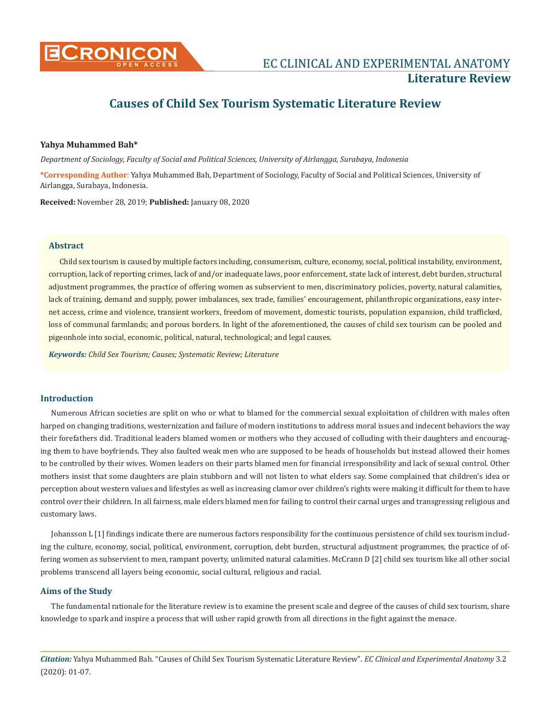

# **Causes of Child Sex Tourism Systematic Literature Review**

# **Yahya Muhammed Bah\***

*Department of Sociology, Faculty of Social and Political Sciences, University of Airlangga, Surabaya, Indonesia*

**\*Corresponding Author**: Yahya Muhammed Bah, Department of Sociology, Faculty of Social and Political Sciences, University of Airlangga, Surabaya, Indonesia.

**Received:** November 28, 2019; **Published:** January 08, 2020

## **Abstract**

Child sex tourism is caused by multiple factors including, consumerism, culture, economy, social, political instability, environment, corruption, lack of reporting crimes, lack of and/or inadequate laws, poor enforcement, state lack of interest, debt burden, structural adjustment programmes, the practice of offering women as subservient to men, discriminatory policies, poverty, natural calamities, lack of training, demand and supply, power imbalances, sex trade, families' encouragement, philanthropic organizations, easy internet access, crime and violence, transient workers, freedom of movement, domestic tourists, population expansion, child trafficked, loss of communal farmlands; and porous borders. In light of the aforementioned, the causes of child sex tourism can be pooled and pigeonhole into social, economic, political, natural, technological; and legal causes.

*Keywords: Child Sex Tourism; Causes; Systematic Review; Literature*

# **Introduction**

Numerous African societies are split on who or what to blamed for the commercial sexual exploitation of children with males often harped on changing traditions, westernization and failure of modern institutions to address moral issues and indecent behaviors the way their forefathers did. Traditional leaders blamed women or mothers who they accused of colluding with their daughters and encouraging them to have boyfriends. They also faulted weak men who are supposed to be heads of households but instead allowed their homes to be controlled by their wives. Women leaders on their parts blamed men for financial irresponsibility and lack of sexual control. Other mothers insist that some daughters are plain stubborn and will not listen to what elders say. Some complained that children's idea or perception about western values and lifestyles as well as increasing clamor over children's rights were making it difficult for them to have control over their children. In all fairness, male elders blamed men for failing to control their carnal urges and transgressing religious and customary laws.

Johansson L [1] findings indicate there are numerous factors responsibility for the continuous persistence of child sex tourism including the culture, economy, social, political, environment, corruption, debt burden, structural adjustment programmes, the practice of offering women as subservient to men, rampant poverty, unlimited natural calamities. McCrann D [2] child sex tourism like all other social problems transcend all layers being economic, social cultural, religious and racial.

# **Aims of the Study**

The fundamental rationale for the literature review is to examine the present scale and degree of the causes of child sex tourism, share knowledge to spark and inspire a process that will usher rapid growth from all directions in the fight against the menace.

*Citation:* Yahya Muhammed Bah*.* "Causes of Child Sex Tourism Systematic Literature Review". *EC Clinical and Experimental Anatomy* 3.2 (2020): 01-07.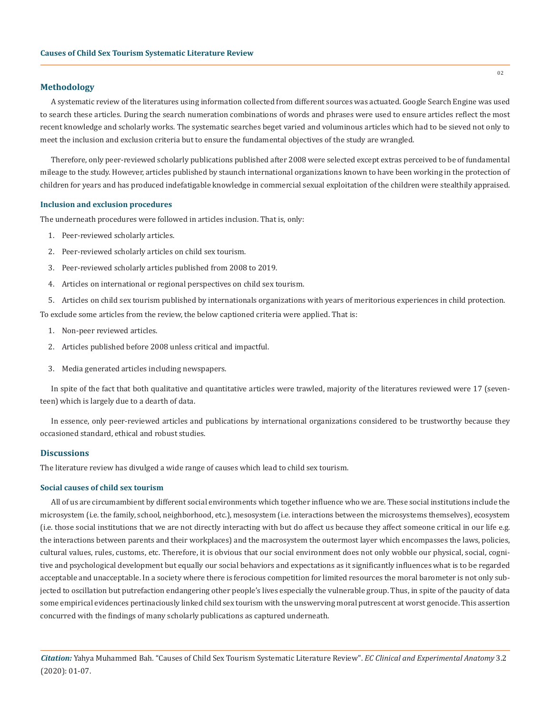## **Methodology**

A systematic review of the literatures using information collected from different sources was actuated. Google Search Engine was used to search these articles. During the search numeration combinations of words and phrases were used to ensure articles reflect the most recent knowledge and scholarly works. The systematic searches beget varied and voluminous articles which had to be sieved not only to meet the inclusion and exclusion criteria but to ensure the fundamental objectives of the study are wrangled.

Therefore, only peer-reviewed scholarly publications published after 2008 were selected except extras perceived to be of fundamental mileage to the study. However, articles published by staunch international organizations known to have been working in the protection of children for years and has produced indefatigable knowledge in commercial sexual exploitation of the children were stealthily appraised.

#### **Inclusion and exclusion procedures**

The underneath procedures were followed in articles inclusion. That is, only:

- 1. Peer-reviewed scholarly articles.
- 2. Peer-reviewed scholarly articles on child sex tourism.
- 3. Peer-reviewed scholarly articles published from 2008 to 2019.
- 4. Articles on international or regional perspectives on child sex tourism.
- 5. Articles on child sex tourism published by internationals organizations with years of meritorious experiences in child protection.

To exclude some articles from the review, the below captioned criteria were applied. That is:

- 1. Non-peer reviewed articles.
- 2. Articles published before 2008 unless critical and impactful.
- 3. Media generated articles including newspapers.

In spite of the fact that both qualitative and quantitative articles were trawled, majority of the literatures reviewed were 17 (seventeen) which is largely due to a dearth of data.

In essence, only peer-reviewed articles and publications by international organizations considered to be trustworthy because they occasioned standard, ethical and robust studies.

# **Discussions**

The literature review has divulged a wide range of causes which lead to child sex tourism.

#### **Social causes of child sex tourism**

All of us are circumambient by different social environments which together influence who we are. These social institutions include the microsystem (i.e. the family, school, neighborhood, etc.), mesosystem (i.e. interactions between the microsystems themselves), ecosystem (i.e. those social institutions that we are not directly interacting with but do affect us because they affect someone critical in our life e.g. the interactions between parents and their workplaces) and the macrosystem the outermost layer which encompasses the laws, policies, cultural values, rules, customs, etc. Therefore, it is obvious that our social environment does not only wobble our physical, social, cognitive and psychological development but equally our social behaviors and expectations as it significantly influences what is to be regarded acceptable and unacceptable. In a society where there is ferocious competition for limited resources the moral barometer is not only subjected to oscillation but putrefaction endangering other people's lives especially the vulnerable group. Thus, in spite of the paucity of data some empirical evidences pertinaciously linked child sex tourism with the unswerving moral putrescent at worst genocide. This assertion concurred with the findings of many scholarly publications as captured underneath.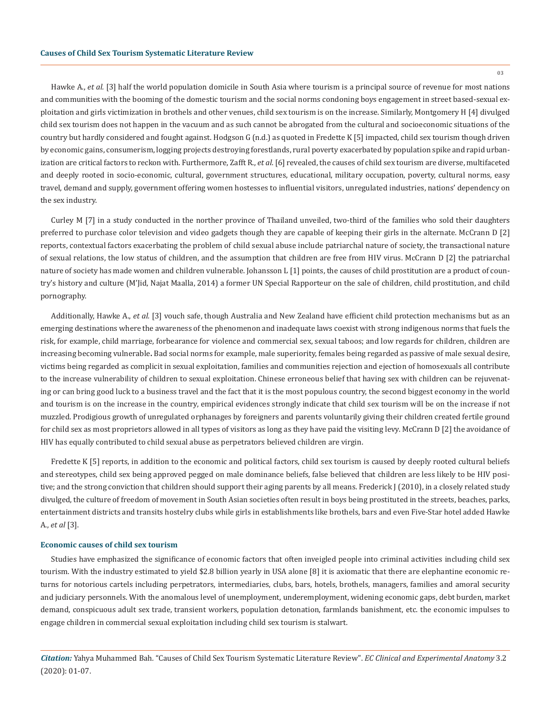Hawke A., *et al.* [3] half the world population domicile in South Asia where tourism is a principal source of revenue for most nations and communities with the booming of the domestic tourism and the social norms condoning boys engagement in street based-sexual exploitation and girls victimization in brothels and other venues, child sex tourism is on the increase. Similarly, Montgomery H [4] divulged child sex tourism does not happen in the vacuum and as such cannot be abrogated from the cultural and socioeconomic situations of the country but hardly considered and fought against. Hodgson G (n.d.) as quoted in Fredette K [5] impacted, child sex tourism though driven by economic gains, consumerism, logging projects destroying forestlands, rural poverty exacerbated by population spike and rapid urbanization are critical factors to reckon with. Furthermore, Zafft R., *et al*. [6] revealed, the causes of child sex tourism are diverse, multifaceted and deeply rooted in socio-economic, cultural, government structures, educational, military occupation, poverty, cultural norms, easy travel, demand and supply, government offering women hostesses to influential visitors, unregulated industries, nations' dependency on the sex industry.

Curley M [7] in a study conducted in the norther province of Thailand unveiled, two-third of the families who sold their daughters preferred to purchase color television and video gadgets though they are capable of keeping their girls in the alternate. McCrann D [2] reports, contextual factors exacerbating the problem of child sexual abuse include patriarchal nature of society, the transactional nature of sexual relations, the low status of children, and the assumption that children are free from HIV virus. McCrann D [2] the patriarchal nature of society has made women and children vulnerable. Johansson L [1] points, the causes of child prostitution are a product of country's history and culture (M'Jid, Najat Maalla, 2014) a former UN Special Rapporteur on the sale of children, child prostitution, and child pornography.

Additionally, Hawke A., *et al.* [3] vouch safe, though Australia and New Zealand have efficient child protection mechanisms but as an emerging destinations where the awareness of the phenomenon and inadequate laws coexist with strong indigenous norms that fuels the risk, for example, child marriage, forbearance for violence and commercial sex, sexual taboos; and low regards for children, children are increasing becoming vulnerable**.** Bad social norms for example, male superiority, females being regarded as passive of male sexual desire, victims being regarded as complicit in sexual exploitation, families and communities rejection and ejection of homosexuals all contribute to the increase vulnerability of children to sexual exploitation. Chinese erroneous belief that having sex with children can be rejuvenating or can bring good luck to a business travel and the fact that it is the most populous country, the second biggest economy in the world and tourism is on the increase in the country, empirical evidences strongly indicate that child sex tourism will be on the increase if not muzzled. Prodigious growth of unregulated orphanages by foreigners and parents voluntarily giving their children created fertile ground for child sex as most proprietors allowed in all types of visitors as long as they have paid the visiting levy. McCrann D [2] the avoidance of HIV has equally contributed to child sexual abuse as perpetrators believed children are virgin.

Fredette K [5] reports, in addition to the economic and political factors, child sex tourism is caused by deeply rooted cultural beliefs and stereotypes, child sex being approved pegged on male dominance beliefs, false believed that children are less likely to be HIV positive; and the strong conviction that children should support their aging parents by all means. Frederick J (2010), in a closely related study divulged, the culture of freedom of movement in South Asian societies often result in boys being prostituted in the streets, beaches, parks, entertainment districts and transits hostelry clubs while girls in establishments like brothels, bars and even Five-Star hotel added Hawke A., *et al* [3].

## **Economic causes of child sex tourism**

Studies have emphasized the significance of economic factors that often inveigled people into criminal activities including child sex tourism. With the industry estimated to yield \$2.8 billion yearly in USA alone [8] it is axiomatic that there are elephantine economic returns for notorious cartels including perpetrators, intermediaries, clubs, bars, hotels, brothels, managers, families and amoral security and judiciary personnels. With the anomalous level of unemployment, underemployment, widening economic gaps, debt burden, market demand, conspicuous adult sex trade, transient workers, population detonation, farmlands banishment, etc. the economic impulses to engage children in commercial sexual exploitation including child sex tourism is stalwart.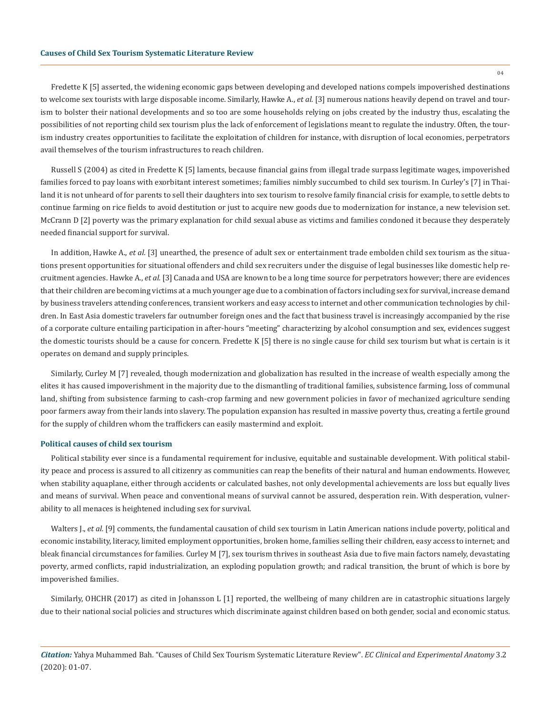Fredette K [5] asserted, the widening economic gaps between developing and developed nations compels impoverished destinations to welcome sex tourists with large disposable income. Similarly, Hawke A., *et al.* [3] numerous nations heavily depend on travel and tourism to bolster their national developments and so too are some households relying on jobs created by the industry thus, escalating the possibilities of not reporting child sex tourism plus the lack of enforcement of legislations meant to regulate the industry. Often, the tourism industry creates opportunities to facilitate the exploitation of children for instance, with disruption of local economies, perpetrators avail themselves of the tourism infrastructures to reach children.

Russell S (2004) as cited in Fredette K [5] laments, because financial gains from illegal trade surpass legitimate wages, impoverished families forced to pay loans with exorbitant interest sometimes; families nimbly succumbed to child sex tourism. In Curley's [7] in Thailand it is not unheard of for parents to sell their daughters into sex tourism to resolve family financial crisis for example, to settle debts to continue farming on rice fields to avoid destitution or just to acquire new goods due to modernization for instance, a new television set. McCrann D [2] poverty was the primary explanation for child sexual abuse as victims and families condoned it because they desperately needed financial support for survival.

In addition, Hawke A., *et al.* [3] unearthed, the presence of adult sex or entertainment trade embolden child sex tourism as the situations present opportunities for situational offenders and child sex recruiters under the disguise of legal businesses like domestic help recruitment agencies. Hawke A., *et al.* [3] Canada and USA are known to be a long time source for perpetrators however; there are evidences that their children are becoming victims at a much younger age due to a combination of factors including sex for survival, increase demand by business travelers attending conferences, transient workers and easy access to internet and other communication technologies by children. In East Asia domestic travelers far outnumber foreign ones and the fact that business travel is increasingly accompanied by the rise of a corporate culture entailing participation in after-hours "meeting" characterizing by alcohol consumption and sex, evidences suggest the domestic tourists should be a cause for concern. Fredette K [5] there is no single cause for child sex tourism but what is certain is it operates on demand and supply principles.

Similarly, Curley M [7] revealed, though modernization and globalization has resulted in the increase of wealth especially among the elites it has caused impoverishment in the majority due to the dismantling of traditional families, subsistence farming, loss of communal land, shifting from subsistence farming to cash-crop farming and new government policies in favor of mechanized agriculture sending poor farmers away from their lands into slavery. The population expansion has resulted in massive poverty thus, creating a fertile ground for the supply of children whom the traffickers can easily mastermind and exploit.

## **Political causes of child sex tourism**

Political stability ever since is a fundamental requirement for inclusive, equitable and sustainable development. With political stability peace and process is assured to all citizenry as communities can reap the benefits of their natural and human endowments. However, when stability aquaplane, either through accidents or calculated bashes, not only developmental achievements are loss but equally lives and means of survival. When peace and conventional means of survival cannot be assured, desperation rein. With desperation, vulnerability to all menaces is heightened including sex for survival.

Walters J., *et al.* [9] comments, the fundamental causation of child sex tourism in Latin American nations include poverty, political and economic instability, literacy, limited employment opportunities, broken home, families selling their children, easy access to internet; and bleak financial circumstances for families. Curley M [7], sex tourism thrives in southeast Asia due to five main factors namely, devastating poverty, armed conflicts, rapid industrialization, an exploding population growth; and radical transition, the brunt of which is bore by impoverished families.

Similarly, OHCHR (2017) as cited in Johansson L [1] reported, the wellbeing of many children are in catastrophic situations largely due to their national social policies and structures which discriminate against children based on both gender, social and economic status.

*Citation:* Yahya Muhammed Bah*.* "Causes of Child Sex Tourism Systematic Literature Review". *EC Clinical and Experimental Anatomy* 3.2 (2020): 01-07.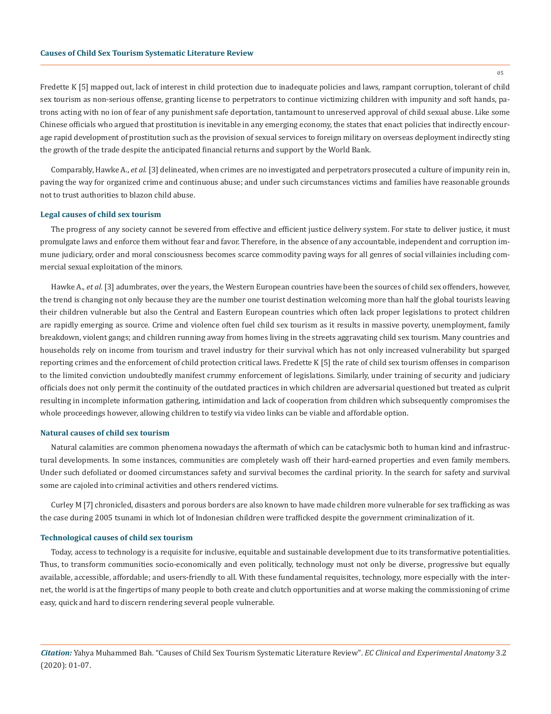Fredette K [5] mapped out, lack of interest in child protection due to inadequate policies and laws, rampant corruption, tolerant of child sex tourism as non-serious offense, granting license to perpetrators to continue victimizing children with impunity and soft hands, patrons acting with no ion of fear of any punishment safe deportation, tantamount to unreserved approval of child sexual abuse. Like some Chinese officials who argued that prostitution is inevitable in any emerging economy, the states that enact policies that indirectly encourage rapid development of prostitution such as the provision of sexual services to foreign military on overseas deployment indirectly sting the growth of the trade despite the anticipated financial returns and support by the World Bank.

Comparably, Hawke A., *et al.* [3] delineated, when crimes are no investigated and perpetrators prosecuted a culture of impunity rein in, paving the way for organized crime and continuous abuse; and under such circumstances victims and families have reasonable grounds not to trust authorities to blazon child abuse.

#### **Legal causes of child sex tourism**

The progress of any society cannot be severed from effective and efficient justice delivery system. For state to deliver justice, it must promulgate laws and enforce them without fear and favor. Therefore, in the absence of any accountable, independent and corruption immune judiciary, order and moral consciousness becomes scarce commodity paving ways for all genres of social villainies including commercial sexual exploitation of the minors.

Hawke A., *et al.* [3] adumbrates, over the years, the Western European countries have been the sources of child sex offenders, however, the trend is changing not only because they are the number one tourist destination welcoming more than half the global tourists leaving their children vulnerable but also the Central and Eastern European countries which often lack proper legislations to protect children are rapidly emerging as source. Crime and violence often fuel child sex tourism as it results in massive poverty, unemployment, family breakdown, violent gangs; and children running away from homes living in the streets aggravating child sex tourism. Many countries and households rely on income from tourism and travel industry for their survival which has not only increased vulnerability but sparged reporting crimes and the enforcement of child protection critical laws. Fredette K [5] the rate of child sex tourism offenses in comparison to the limited conviction undoubtedly manifest crummy enforcement of legislations. Similarly, under training of security and judiciary officials does not only permit the continuity of the outdated practices in which children are adversarial questioned but treated as culprit resulting in incomplete information gathering, intimidation and lack of cooperation from children which subsequently compromises the whole proceedings however, allowing children to testify via video links can be viable and affordable option.

#### **Natural causes of child sex tourism**

Natural calamities are common phenomena nowadays the aftermath of which can be cataclysmic both to human kind and infrastructural developments. In some instances, communities are completely wash off their hard-earned properties and even family members. Under such defoliated or doomed circumstances safety and survival becomes the cardinal priority. In the search for safety and survival some are cajoled into criminal activities and others rendered victims.

Curley M [7] chronicled, disasters and porous borders are also known to have made children more vulnerable for sex trafficking as was the case during 2005 tsunami in which lot of Indonesian children were trafficked despite the government criminalization of it.

#### **Technological causes of child sex tourism**

Today, access to technology is a requisite for inclusive, equitable and sustainable development due to its transformative potentialities. Thus, to transform communities socio-economically and even politically, technology must not only be diverse, progressive but equally available, accessible, affordable; and users-friendly to all. With these fundamental requisites, technology, more especially with the internet, the world is at the fingertips of many people to both create and clutch opportunities and at worse making the commissioning of crime easy, quick and hard to discern rendering several people vulnerable.

05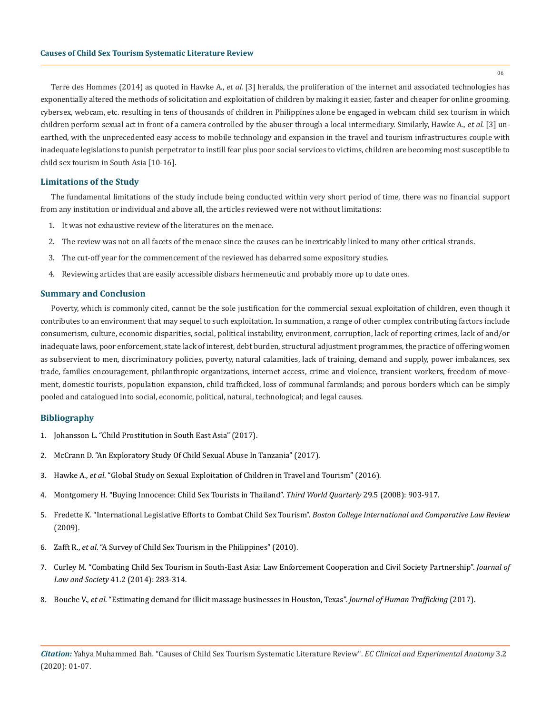06

Terre des Hommes (2014) as quoted in Hawke A., *et al.* [3] heralds, the proliferation of the internet and associated technologies has exponentially altered the methods of solicitation and exploitation of children by making it easier, faster and cheaper for online grooming, cybersex, webcam, etc. resulting in tens of thousands of children in Philippines alone be engaged in webcam child sex tourism in which children perform sexual act in front of a camera controlled by the abuser through a local intermediary. Similarly, Hawke A., *et al.* [3] unearthed, with the unprecedented easy access to mobile technology and expansion in the travel and tourism infrastructures couple with inadequate legislations to punish perpetrator to instill fear plus poor social services to victims, children are becoming most susceptible to child sex tourism in South Asia [10-16].

## **Limitations of the Study**

The fundamental limitations of the study include being conducted within very short period of time, there was no financial support from any institution or individual and above all, the articles reviewed were not without limitations:

- 1. It was not exhaustive review of the literatures on the menace.
- 2. The review was not on all facets of the menace since the causes can be inextricably linked to many other critical strands.
- 3. The cut-off year for the commencement of the reviewed has debarred some expository studies.
- 4. Reviewing articles that are easily accessible disbars hermeneutic and probably more up to date ones.

## **Summary and Conclusion**

Poverty, which is commonly cited, cannot be the sole justification for the commercial sexual exploitation of children, even though it contributes to an environment that may sequel to such exploitation. In summation, a range of other complex contributing factors include consumerism, culture, economic disparities, social, political instability, environment, corruption, lack of reporting crimes, lack of and/or inadequate laws, poor enforcement, state lack of interest, debt burden, structural adjustment programmes, the practice of offering women as subservient to men, discriminatory policies, poverty, natural calamities, lack of training, demand and supply, power imbalances, sex trade, families encouragement, philanthropic organizations, internet access, crime and violence, transient workers, freedom of movement, domestic tourists, population expansion, child trafficked, loss of communal farmlands; and porous borders which can be simply pooled and catalogued into social, economic, political, natural, technological; and legal causes.

# **Bibliography**

- 1. [Johansson L. "Child Prostitution in South East Asia" \(2017\).](https://www.diva-portal.org/smash/get/diva2:1177268/FULLTEXT01.pdf)
- 2. [McCrann D. "An Exploratory Study Of Child Sexual Abuse In Tanzania" \(2017\).](https://arrow.dit.ie/cgi/viewcontent.cgi?article=1080&context=appadoc)
- 3. Hawke A., *et al*[. "Global Study on Sexual Exploitation of Children in Travel and Tourism" \(2016\).](http://cf.cdn.unwto.org/sites/all/files/docpdf/global-report-offenders-move-final.pdf)
- 4. [Montgomery H. "Buying Innocence: Child Sex Tourists in Thailand".](https://www.tandfonline.com/doi/abs/10.1080/01436590802106023) *Third World Quarterly* 29.5 (2008): 903-917.
- 5. [Fredette K. "International Legislative Efforts to Combat Child Sex Tourism".](https://lawdigitalcommons.bc.edu/cgi/viewcontent.cgi?article=1019&context=iclr) *Boston College International and Comparative Law Review* [\(2009\).](https://lawdigitalcommons.bc.edu/cgi/viewcontent.cgi?article=1019&context=iclr)
- 6. Zafft R., *et al*[. "A Survey of Child Sex Tourism in the Philippines" \(2010\).](https://digitalcommons.unl.edu/cgi/viewcontent.cgi?article=1021&context=humtrafconf2)
- 7. [Curley M. "Combating Child Sex Tourism in South-East Asia: Law Enforcement Cooperation and Civil Society Partnership".](https://onlinelibrary.wiley.com/doi/abs/10.1111/j.1467-6478.2014.00667.x) *Journal of Law and Society* [41.2 \(2014\): 283-314.](https://onlinelibrary.wiley.com/doi/abs/10.1111/j.1467-6478.2014.00667.x)
- 8. Bouche V., *et al*[. "Estimating demand for illicit massage businesses in Houston, Texas".](http://vanessabouche.com/wp-content/uploads/2017/10/BoucheCrotty2017.pdf) *Journal of Human Trafficking* (2017).